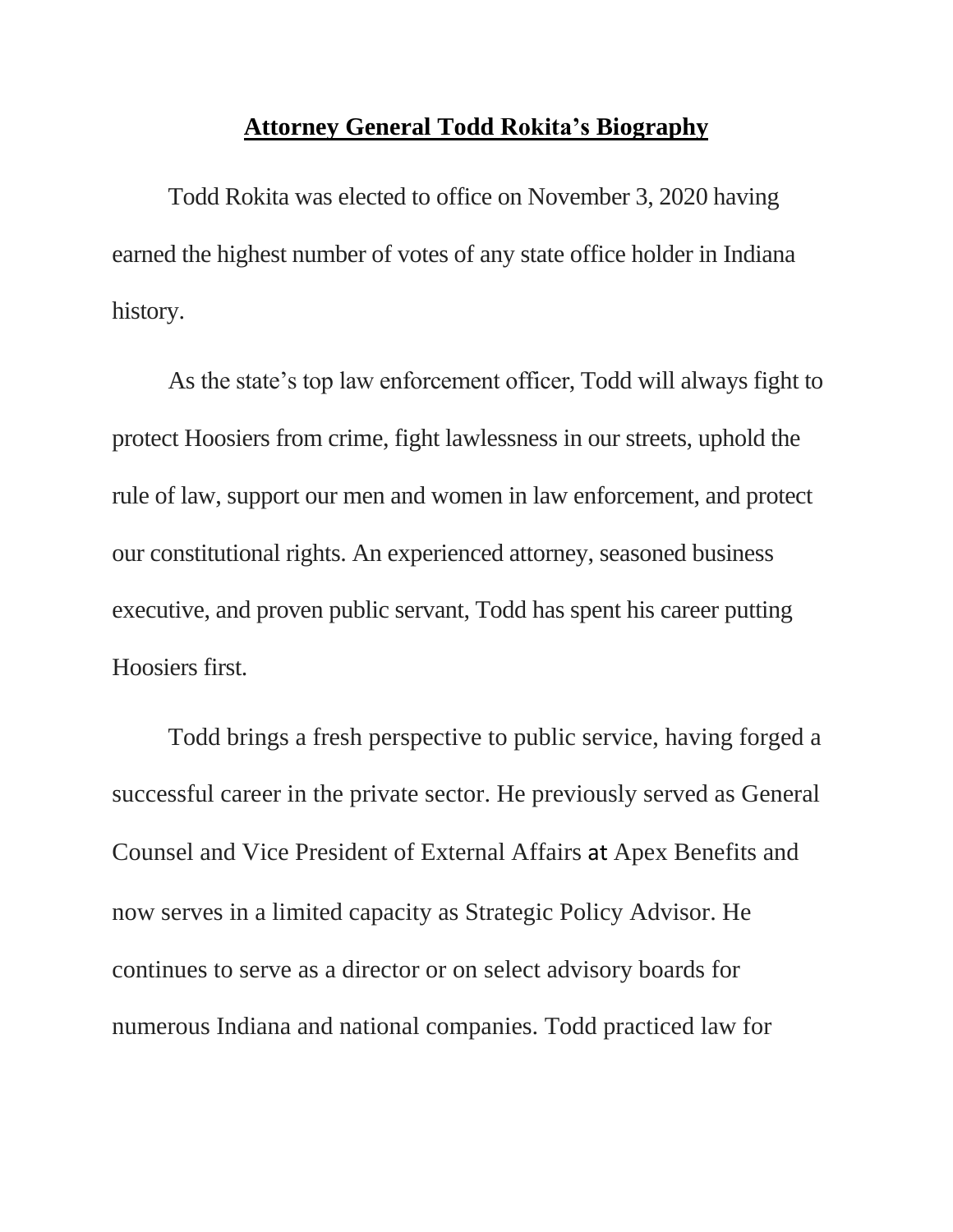## **Attorney General Todd Rokita's Biography**

Todd Rokita was elected to office on November 3, 2020 having earned the highest number of votes of any state office holder in Indiana history.

As the state's top law enforcement officer, Todd will always fight to protect Hoosiers from crime, fight lawlessness in our streets, uphold the rule of law, support our men and women in law enforcement, and protect our constitutional rights. An experienced attorney, seasoned business executive, and proven public servant, Todd has spent his career putting Hoosiers first.

Todd brings a fresh perspective to public service, having forged a successful career in the private sector. He previously served as General Counsel and Vice President of External Affairs at Apex Benefits and now serves in a limited capacity as Strategic Policy Advisor. He continues to serve as a director or on select advisory boards for numerous Indiana and national companies. Todd practiced law for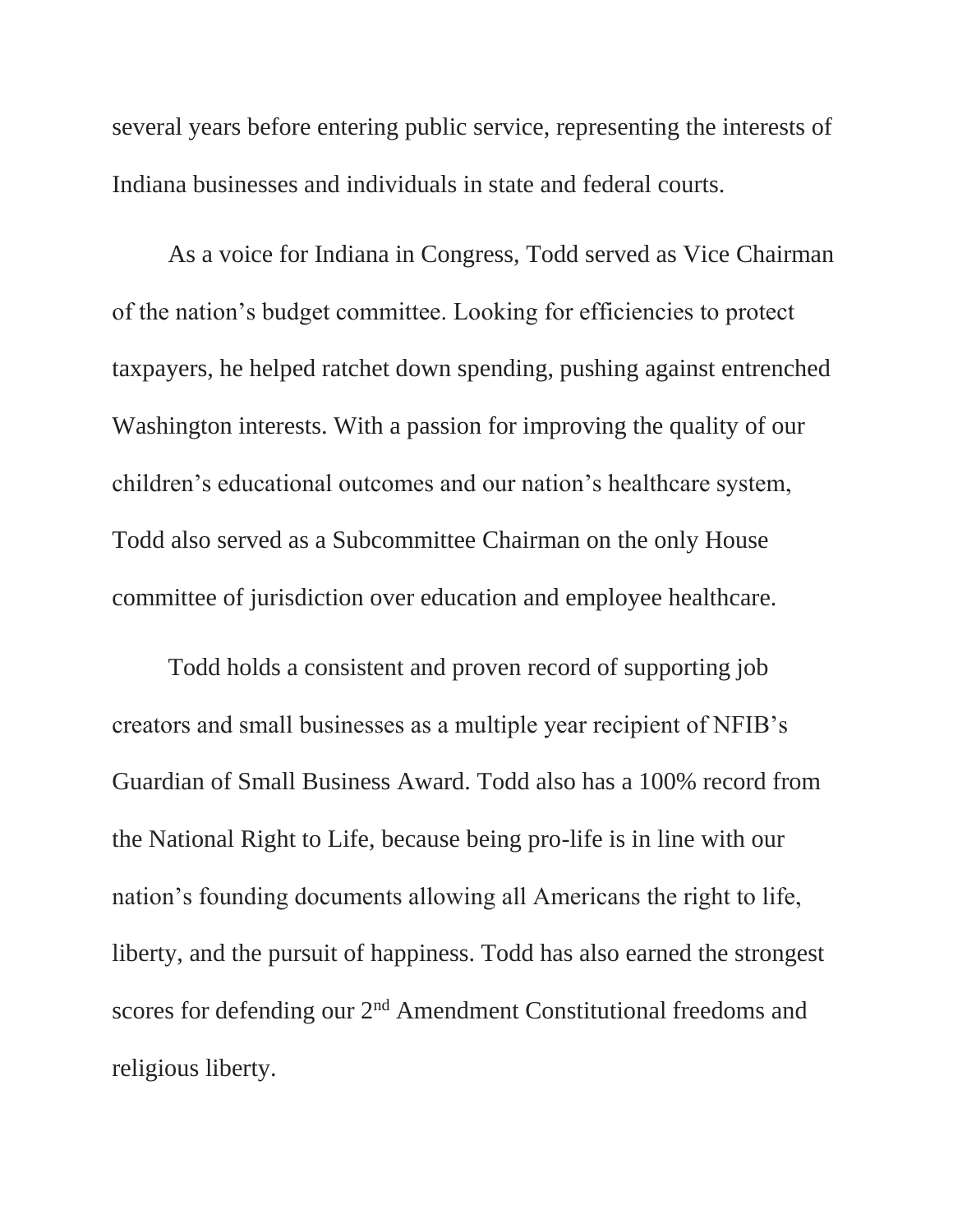several years before entering public service, representing the interests of Indiana businesses and individuals in state and federal courts.

As a voice for Indiana in Congress, Todd served as Vice Chairman of the nation's budget committee. Looking for efficiencies to protect taxpayers, he helped ratchet down spending, pushing against entrenched Washington interests. With a passion for improving the quality of our children's educational outcomes and our nation's healthcare system, Todd also served as a Subcommittee Chairman on the only House committee of jurisdiction over education and employee healthcare.

Todd holds a consistent and proven record of supporting job creators and small businesses as a multiple year recipient of NFIB's Guardian of Small Business Award. Todd also has a 100% record from the National Right to Life, because being pro-life is in line with our nation's founding documents allowing all Americans the right to life, liberty, and the pursuit of happiness. Todd has also earned the strongest scores for defending our 2<sup>nd</sup> Amendment Constitutional freedoms and religious liberty.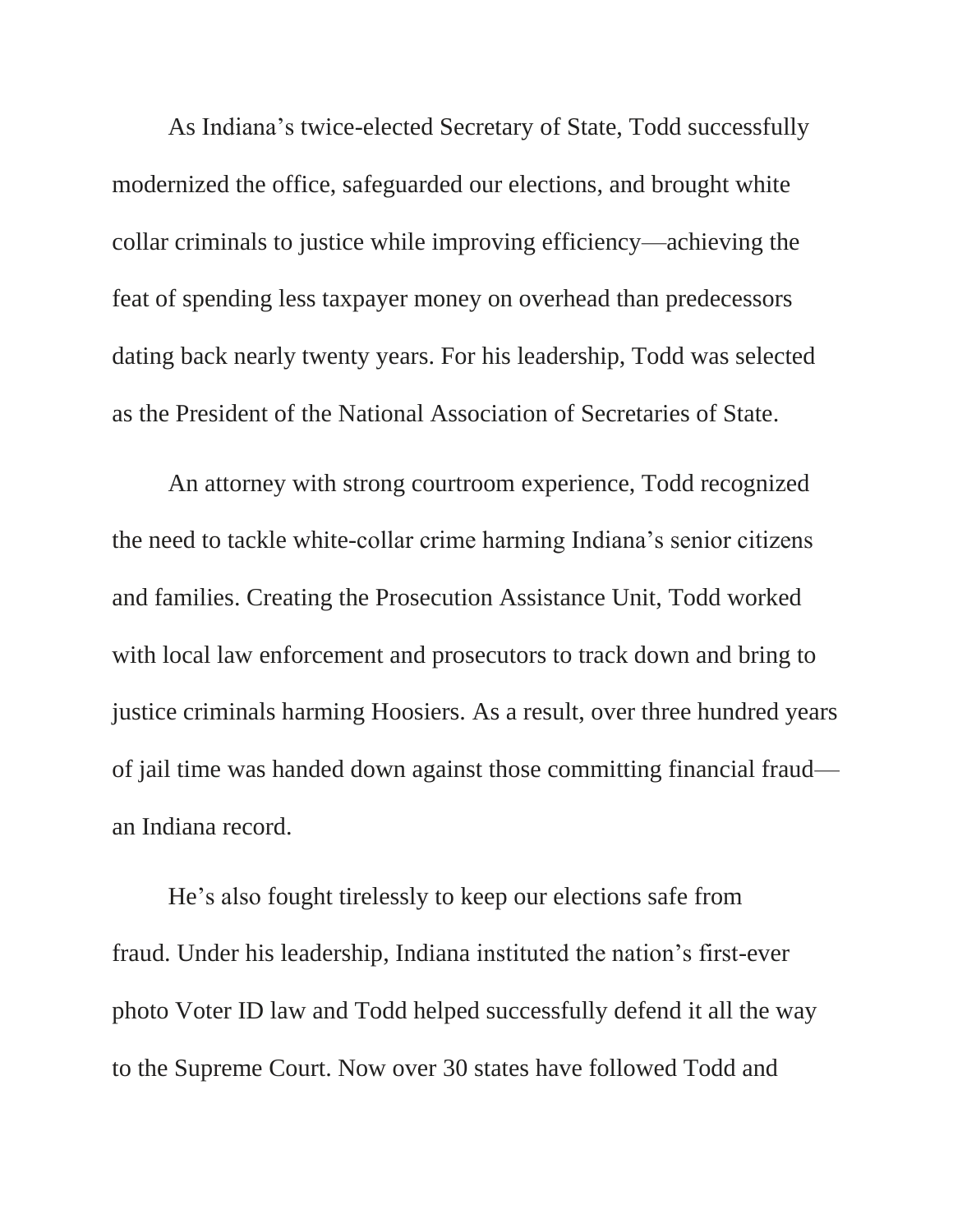As Indiana's twice-elected Secretary of State, Todd successfully modernized the office, safeguarded our elections, and brought white collar criminals to justice while improving efficiency—achieving the feat of spending less taxpayer money on overhead than predecessors dating back nearly twenty years. For his leadership, Todd was selected as the President of the National Association of Secretaries of State.

An attorney with strong courtroom experience, Todd recognized the need to tackle white-collar crime harming Indiana's senior citizens and families. Creating the Prosecution Assistance Unit, Todd worked with local law enforcement and prosecutors to track down and bring to justice criminals harming Hoosiers. As a result, over three hundred years of jail time was handed down against those committing financial fraud an Indiana record.

He's also fought tirelessly to keep our elections safe from fraud. Under his leadership, Indiana instituted the nation's first-ever photo Voter ID law and Todd helped successfully defend it all the way to the Supreme Court. Now over 30 states have followed Todd and